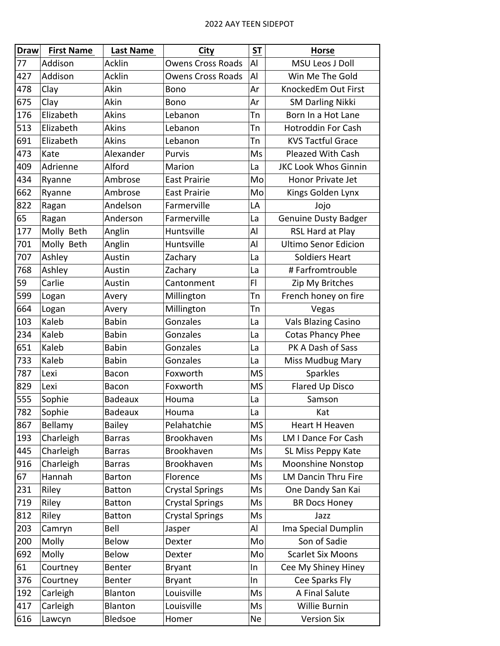## 2022 AAY TEEN SIDEPOT

| <b>Draw</b> | <b>First Name</b> | Last Name      | <b>City</b>              | S <sub>T</sub> | <b>Horse</b>                |
|-------------|-------------------|----------------|--------------------------|----------------|-----------------------------|
| 77          | Addison           | <b>Acklin</b>  | <b>Owens Cross Roads</b> | AI             | <b>MSU Leos J Doll</b>      |
| 427         | Addison           | <b>Acklin</b>  | <b>Owens Cross Roads</b> | Al             | Win Me The Gold             |
| 478         | Clay              | Akin           | <b>Bono</b>              | Ar             | KnockedEm Out First         |
| 675         | Clay              | Akin           | <b>Bono</b>              | Ar             | <b>SM Darling Nikki</b>     |
| 176         | Elizabeth         | <b>Akins</b>   | Lebanon                  | Tn             | Born In a Hot Lane          |
| 513         | Elizabeth         | Akins          | Lebanon                  | Тn             | <b>Hotroddin For Cash</b>   |
| 691         | Elizabeth         | <b>Akins</b>   | Lebanon                  | Tn             | <b>KVS Tactful Grace</b>    |
| 473         | Kate              | Alexander      | Purvis                   | Ms             | <b>Pleazed With Cash</b>    |
| 409         | Adrienne          | Alford         | Marion                   | La             | <b>JKC Look Whos Ginnin</b> |
| 434         | Ryanne            | Ambrose        | <b>East Prairie</b>      | Mo             | Honor Private Jet           |
| 662         | Ryanne            | Ambrose        | <b>East Prairie</b>      | Mo             | Kings Golden Lynx           |
| 822         | Ragan             | Andelson       | Farmerville              | LA             | Jojo                        |
| 65          | Ragan             | Anderson       | Farmerville              | La             | <b>Genuine Dusty Badger</b> |
| 177         | Molly Beth        | Anglin         | Huntsville               | Al             | RSL Hard at Play            |
| 701         | Molly Beth        | Anglin         | Huntsville               | Al             | <b>Ultimo Senor Edicion</b> |
| 707         | Ashley            | Austin         | Zachary                  | La             | <b>Soldiers Heart</b>       |
| 768         | Ashley            | Austin         | Zachary                  | La             | #Farfromtrouble             |
| 59          | Carlie            | Austin         | Cantonment               | FI             | Zip My Britches             |
| 599         | Logan             | Avery          | Millington               | Tn             | French honey on fire        |
| 664         | Logan             | Avery          | Millington               | Tn             | Vegas                       |
| 103         | Kaleb             | <b>Babin</b>   | Gonzales                 | La             | <b>Vals Blazing Casino</b>  |
| 234         | Kaleb             | <b>Babin</b>   | Gonzales                 | La             | <b>Cotas Phancy Phee</b>    |
| 651         | Kaleb             | <b>Babin</b>   | Gonzales                 | La             | PK A Dash of Sass           |
| 733         | Kaleb             | <b>Babin</b>   | Gonzales                 | La             | Miss Mudbug Mary            |
| 787         | Lexi              | Bacon          | Foxworth                 | <b>MS</b>      | Sparkles                    |
| 829         | Lexi              | Bacon          | Foxworth                 | <b>MS</b>      | Flared Up Disco             |
| 555         | Sophie            | <b>Badeaux</b> | Houma                    | La             | Samson                      |
| 782         | Sophie            | Badeaux        | Houma                    | La             | Kat                         |
| 867         | Bellamy           | <b>Bailey</b>  | Pelahatchie              | MS             | <b>Heart H Heaven</b>       |
| 193         | Charleigh         | <b>Barras</b>  | Brookhaven               | Ms             | <b>LM I Dance For Cash</b>  |
| 445         | Charleigh         | <b>Barras</b>  | Brookhaven               | Ms             | SL Miss Peppy Kate          |
| 916         | Charleigh         | <b>Barras</b>  | Brookhaven               | Ms             | <b>Moonshine Nonstop</b>    |
| 67          | Hannah            | <b>Barton</b>  | Florence                 | Ms             | <b>LM Dancin Thru Fire</b>  |
| 231         | Riley             | <b>Batton</b>  | <b>Crystal Springs</b>   | Ms             | One Dandy San Kai           |
| 719         | Riley             | <b>Batton</b>  | <b>Crystal Springs</b>   | Ms             | <b>BR Docs Honey</b>        |
| 812         | Riley             | <b>Batton</b>  | <b>Crystal Springs</b>   | Ms             | Jazz                        |
| 203         | Camryn            | Bell           | Jasper                   | Al             | Ima Special Dumplin         |
| 200         | Molly             | <b>Below</b>   | Dexter                   | Mo             | Son of Sadie                |
| 692         | Molly             | <b>Below</b>   | Dexter                   | Mo             | <b>Scarlet Six Moons</b>    |
| 61          | Courtney          | Benter         | <b>Bryant</b>            | In             | Cee My Shiney Hiney         |
| 376         | Courtney          | Benter         | <b>Bryant</b>            | In             | Cee Sparks Fly              |
| 192         | Carleigh          | Blanton        | Louisville               | Ms             | A Final Salute              |
| 417         | Carleigh          | Blanton        | Louisville               | Ms             | Willie Burnin               |
| 616         | Lawcyn            | Bledsoe        | Homer                    | Ne             | <b>Version Six</b>          |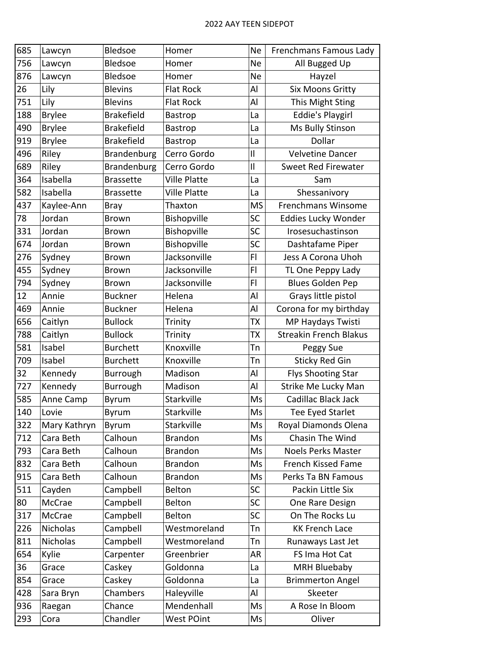| 685 | Lawcyn        | Bledsoe           | Homer               | <b>Ne</b>      | Frenchmans Famous Lady        |
|-----|---------------|-------------------|---------------------|----------------|-------------------------------|
| 756 | Lawcyn        | Bledsoe           | Homer               | <b>Ne</b>      | All Bugged Up                 |
| 876 | Lawcyn        | <b>Bledsoe</b>    | Homer               | <b>Ne</b>      | Hayzel                        |
| 26  | Lily          | <b>Blevins</b>    | <b>Flat Rock</b>    | Al             | <b>Six Moons Gritty</b>       |
| 751 | Lily          | <b>Blevins</b>    | <b>Flat Rock</b>    | Al             | This Might Sting              |
| 188 | <b>Brylee</b> | <b>Brakefield</b> | Bastrop             | La             | <b>Eddie's Playgirl</b>       |
| 490 | <b>Brylee</b> | <b>Brakefield</b> | Bastrop             | La             | Ms Bully Stinson              |
| 919 | <b>Brylee</b> | <b>Brakefield</b> | Bastrop             | La             | Dollar                        |
| 496 | Riley         | Brandenburg       | Cerro Gordo         | $\mathbf{I}$   | Velvetine Dancer              |
| 689 | Riley         | Brandenburg       | Cerro Gordo         | $\mathbf{I}$   | Sweet Red Firewater           |
| 364 | Isabella      | <b>Brassette</b>  | <b>Ville Platte</b> | La             | Sam                           |
| 582 | Isabella      | <b>Brassette</b>  | <b>Ville Platte</b> | La             | Shessanivory                  |
| 437 | Kaylee-Ann    | <b>Bray</b>       | Thaxton             | <b>MS</b>      | Frenchmans Winsome            |
| 78  | Jordan        | <b>Brown</b>      | Bishopville         | SC             | Eddies Lucky Wonder           |
| 331 | Jordan        | <b>Brown</b>      | Bishopville         | <b>SC</b>      | Irosesuchastinson             |
| 674 | Jordan        | <b>Brown</b>      | Bishopville         | <b>SC</b>      | Dashtafame Piper              |
| 276 | Sydney        | <b>Brown</b>      | Jacksonville        | F <sub>1</sub> | Jess A Corona Uhoh            |
| 455 | Sydney        | <b>Brown</b>      | Jacksonville        | FI             | TL One Peppy Lady             |
| 794 | Sydney        | <b>Brown</b>      | Jacksonville        | F <sub>1</sub> | <b>Blues Golden Pep</b>       |
| 12  | Annie         | <b>Buckner</b>    | Helena              | Al             | Grays little pistol           |
| 469 | Annie         | <b>Buckner</b>    | Helena              | Al             | Corona for my birthday        |
| 656 | Caitlyn       | <b>Bullock</b>    | Trinity             | TX             | MP Haydays Twisti             |
| 788 | Caitlyn       | <b>Bullock</b>    | Trinity             | ТX             | <b>Streakin French Blakus</b> |
| 581 | Isabel        | <b>Burchett</b>   | Knoxville           | Tn             | Peggy Sue                     |
| 709 | Isabel        | <b>Burchett</b>   | Knoxville           | Tn             | <b>Sticky Red Gin</b>         |
| 32  | Kennedy       | Burrough          | Madison             | Al             | <b>Flys Shooting Star</b>     |
| 727 | Kennedy       | Burrough          | Madison             | Al             | Strike Me Lucky Man           |
| 585 | Anne Camp     | Byrum             | Starkville          | Ms             | Cadillac Black Jack           |
| 140 | Lovie         | Byrum             | Starkville          | Ms             | Tee Eyed Starlet              |
| 322 | Mary Kathryn  | Byrum             | Starkville          | Ms             | Royal Diamonds Olena          |
| 712 | Cara Beth     | Calhoun           | <b>Brandon</b>      | Ms             | Chasin The Wind               |
| 793 | Cara Beth     | Calhoun           | <b>Brandon</b>      | Ms             | <b>Noels Perks Master</b>     |
| 832 | Cara Beth     | Calhoun           | <b>Brandon</b>      | Ms             | French Kissed Fame            |
| 915 | Cara Beth     | Calhoun           | <b>Brandon</b>      | Ms             | Perks Ta BN Famous            |
| 511 | Cayden        | Campbell          | Belton              | <b>SC</b>      | Packin Little Six             |
| 80  | McCrae        | Campbell          | <b>Belton</b>       | <b>SC</b>      | One Rare Design               |
| 317 | McCrae        | Campbell          | <b>Belton</b>       | <b>SC</b>      | On The Rocks Lu               |
| 226 | Nicholas      | Campbell          | Westmoreland        | Tn             | <b>KK French Lace</b>         |
| 811 | Nicholas      | Campbell          | Westmoreland        | Tn             | Runaways Last Jet             |
| 654 | Kylie         | Carpenter         | Greenbrier          | AR             | FS Ima Hot Cat                |
| 36  | Grace         | Caskey            | Goldonna            | La             | <b>MRH Bluebaby</b>           |
| 854 | Grace         | Caskey            | Goldonna            | La             | <b>Brimmerton Angel</b>       |
| 428 | Sara Bryn     | Chambers          | Haleyville          | Al             | Skeeter                       |
| 936 | Raegan        | Chance            | Mendenhall          | Ms             | A Rose In Bloom               |
| 293 | Cora          | Chandler          | <b>West POint</b>   | Ms             | Oliver                        |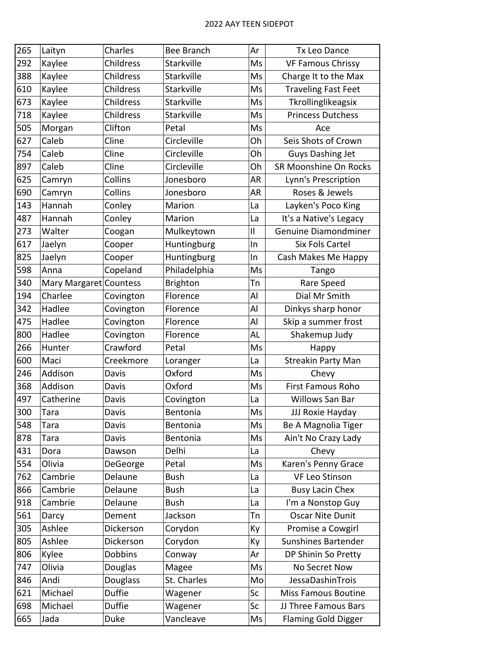| 265 | Laityn                 | Charles       | Bee Branch      | Ar           | <b>Tx Leo Dance</b>        |
|-----|------------------------|---------------|-----------------|--------------|----------------------------|
| 292 | Kaylee                 | Childress     | Starkville      | Ms           | <b>VF Famous Chrissy</b>   |
| 388 | Kaylee                 | Childress     | Starkville      | Ms           | Charge It to the Max       |
| 610 | Kaylee                 | Childress     | Starkville      | Ms           | <b>Traveling Fast Feet</b> |
| 673 | Kaylee                 | Childress     | Starkville      | Ms           | Tkrollinglikeagsix         |
| 718 | Kaylee                 | Childress     | Starkville      | Ms           | <b>Princess Dutchess</b>   |
| 505 | Morgan                 | Clifton       | Petal           | Ms           | Ace                        |
| 627 | Caleb                  | Cline         | Circleville     | Oh           | Seis Shots of Crown        |
| 754 | Caleb                  | Cline         | Circleville     | Oh           | Guys Dashing Jet           |
| 897 | Caleb                  | Cline         | Circleville     | Oh           | SR Moonshine On Rocks      |
| 625 | Camryn                 | Collins       | Jonesboro       | AR           | Lynn's Prescription        |
| 690 | Camryn                 | Collins       | Jonesboro       | AR           | Roses & Jewels             |
| 143 | Hannah                 | Conley        | Marion          | La           | Layken's Poco King         |
| 487 | Hannah                 | Conley        | Marion          | La           | It's a Native's Legacy     |
| 273 | Walter                 | Coogan        | Mulkeytown      | $\mathbf{I}$ | Genuine Diamondminer       |
| 617 | Jaelyn                 | Cooper        | Huntingburg     | In           | <b>Six Fols Cartel</b>     |
| 825 | Jaelyn                 | Cooper        | Huntingburg     | In           | Cash Makes Me Happy        |
| 598 | Anna                   | Copeland      | Philadelphia    | Ms           | Tango                      |
| 340 | Mary Margaret Countess |               | <b>Brighton</b> | Tn           | Rare Speed                 |
| 194 | Charlee                | Covington     | Florence        | Al           | Dial Mr Smith              |
| 342 | Hadlee                 | Covington     | Florence        | Al           | Dinkys sharp honor         |
| 475 | Hadlee                 | Covington     | Florence        | Al           | Skip a summer frost        |
| 800 | Hadlee                 | Covington     | Florence        | AL           | Shakemup Judy              |
| 266 | Hunter                 | Crawford      | Petal           | Ms           | Happy                      |
| 600 | Maci                   | Creekmore     | Loranger        | La           | <b>Streakin Party Man</b>  |
| 246 | Addison                | Davis         | Oxford          | Ms           | Chevy                      |
| 368 | Addison                | Davis         | Oxford          | Ms           | <b>First Famous Roho</b>   |
| 497 | Catherine              | Davis         | Covington       | La           | Willows San Bar            |
| 300 | <b>Tara</b>            | Davis         | Bentonia        | Ms           | JJJ Roxie Hayday           |
| 548 | Tara                   | Davis         | Bentonia        | Ms           | Be A Magnolia Tiger        |
| 878 | Tara                   | Davis         | Bentonia        | Ms           | Ain't No Crazy Lady        |
| 431 | Dora                   | Dawson        | Delhi           | La           | Chevy                      |
| 554 | Olivia                 | DeGeorge      | Petal           | Ms           | Karen's Penny Grace        |
| 762 | Cambrie                | Delaune       | <b>Bush</b>     | La           | VF Leo Stinson             |
| 866 | Cambrie                | Delaune       | <b>Bush</b>     | La           | <b>Busy Lacin Chex</b>     |
| 918 | Cambrie                | Delaune       | <b>Bush</b>     | La           | I'm a Nonstop Guy          |
| 561 | Darcy                  | Dement        | Jackson         | Tn           | <b>Oscar Nite Dunit</b>    |
| 305 | Ashlee                 | Dickerson     | Corydon         | Ky           | Promise a Cowgirl          |
| 805 | Ashlee                 | Dickerson     | Corydon         | Ky           | Sunshines Bartender        |
| 806 | Kylee                  | Dobbins       | Conway          | Ar           | DP Shinin So Pretty        |
| 747 | Olivia                 | Douglas       | Magee           | Ms           | No Secret Now              |
| 846 | Andi                   | Douglass      | St. Charles     | Mo           | JessaDashinTrois           |
| 621 | Michael                | <b>Duffie</b> | Wagener         | Sc           | <b>Miss Famous Boutine</b> |
| 698 | Michael                | <b>Duffie</b> | Wagener         | Sc           | JJ Three Famous Bars       |
| 665 | Jada                   | Duke          | Vancleave       | Ms           | <b>Flaming Gold Digger</b> |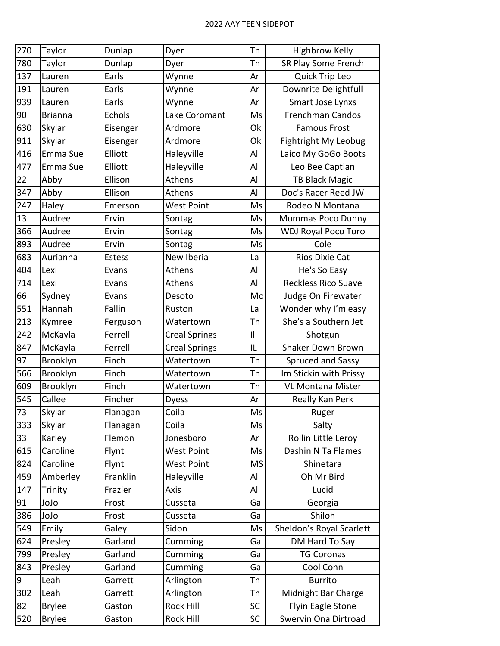| 270 | Taylor         | Dunlap        | Dyer                 | Tn           | <b>Highbrow Kelly</b>      |
|-----|----------------|---------------|----------------------|--------------|----------------------------|
| 780 | Taylor         | Dunlap        | Dyer                 | Tn           | SR Play Some French        |
| 137 | Lauren         | Earls         | Wynne                | Ar           | Quick Trip Leo             |
| 191 | Lauren         | Earls         | Wynne                | Ar           | Downrite Delightfull       |
| 939 | Lauren         | Earls         | Wynne                | Ar           | <b>Smart Jose Lynxs</b>    |
| 90  | <b>Brianna</b> | Echols        | Lake Coromant        | Ms           | <b>Frenchman Candos</b>    |
| 630 | Skylar         | Eisenger      | Ardmore              | Ok           | <b>Famous Frost</b>        |
| 911 | Skylar         | Eisenger      | Ardmore              | Ok           | Fightright My Leobug       |
| 416 | Emma Sue       | Elliott       | Haleyville           | Al           | Laico My GoGo Boots        |
| 477 | Emma Sue       | Elliott       | Haleyville           | Al           | Leo Bee Captian            |
| 22  | Abby           | Ellison       | Athens               | Al           | <b>TB Black Magic</b>      |
| 347 | Abby           | Ellison       | Athens               | Al           | Doc's Racer Reed JW        |
| 247 | Haley          | Emerson       | <b>West Point</b>    | Ms           | Rodeo N Montana            |
| 13  | Audree         | Ervin         | Sontag               | Ms           | Mummas Poco Dunny          |
| 366 | Audree         | Ervin         | Sontag               | Ms           | <b>WDJ Royal Poco Toro</b> |
| 893 | Audree         | Ervin         | Sontag               | Ms           | Cole                       |
| 683 | Aurianna       | <b>Estess</b> | New Iberia           | La           | Rios Dixie Cat             |
| 404 | Lexi           | Evans         | Athens               | Al           | He's So Easy               |
| 714 | Lexi           | Evans         | Athens               | Al           | <b>Reckless Rico Suave</b> |
| 66  | Sydney         | Evans         | Desoto               | Mo           | Judge On Firewater         |
| 551 | Hannah         | Fallin        | Ruston               | La           | Wonder why I'm easy        |
| 213 | Kymree         | Ferguson      | Watertown            | Tn           | She's a Southern Jet       |
| 242 | McKayla        | Ferrell       | <b>Creal Springs</b> | $\mathbf{I}$ | Shotgun                    |
| 847 | McKayla        | Ferrell       | <b>Creal Springs</b> | IL           | Shaker Down Brown          |
| 97  | Brooklyn       | Finch         | Watertown            | Tn           | Spruced and Sassy          |
| 566 | Brooklyn       | Finch         | Watertown            | Tn           | Im Stickin with Prissy     |
| 609 | Brooklyn       | Finch         | Watertown            | Tn           | <b>VL Montana Mister</b>   |
| 545 | Callee         | Fincher       | <b>Dyess</b>         | Ar           | Really Kan Perk            |
| 73  | Skylar         | Flanagan      | Coila                | Ms           | Ruger                      |
| 333 | Skylar         | Flanagan      | Coila                | Ms           | Salty                      |
| 33  | Karley         | Flemon        | Jonesboro            | Ar           | Rollin Little Leroy        |
| 615 | Caroline       | Flynt         | <b>West Point</b>    | Ms           | Dashin N Ta Flames         |
| 824 | Caroline       | Flynt         | <b>West Point</b>    | <b>MS</b>    | Shinetara                  |
| 459 | Amberley       | Franklin      | Haleyville           | Al           | Oh Mr Bird                 |
| 147 | Trinity        | Frazier       | Axis                 | Al           | Lucid                      |
| 91  | JoJo           | Frost         | Cusseta              | Ga           | Georgia                    |
| 386 | olol           | Frost         | Cusseta              | Ga           | Shiloh                     |
| 549 | Emily          | Galey         | Sidon                | Ms           | Sheldon's Royal Scarlett   |
| 624 | Presley        | Garland       | Cumming              | Ga           | DM Hard To Say             |
| 799 | Presley        | Garland       | Cumming              | Ga           | <b>TG Coronas</b>          |
| 843 | Presley        | Garland       | Cumming              | Ga           | Cool Conn                  |
| 9   | Leah           | Garrett       | Arlington            | Tn           | <b>Burrito</b>             |
| 302 | Leah           | Garrett       | Arlington            | Tn           | Midnight Bar Charge        |
| 82  | <b>Brylee</b>  | Gaston        | Rock Hill            | SC           | Flyin Eagle Stone          |
| 520 | <b>Brylee</b>  | Gaston        | Rock Hill            | SC           | Swervin Ona Dirtroad       |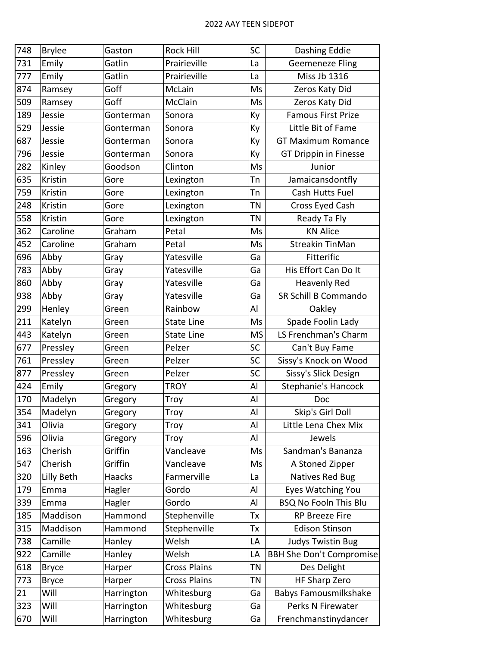| 748 | <b>Brylee</b> | Gaston        | Rock Hill           | SC        | Dashing Eddie                   |
|-----|---------------|---------------|---------------------|-----------|---------------------------------|
| 731 | Emily         | Gatlin        | Prairieville        | La        | <b>Geemeneze Fling</b>          |
| 777 | Emily         | Gatlin        | Prairieville        | La        | Miss Jb 1316                    |
| 874 | Ramsey        | Goff          | McLain              | Ms        | Zeros Katy Did                  |
| 509 | Ramsey        | Goff          | McClain             | Ms        | Zeros Katy Did                  |
| 189 | Jessie        | Gonterman     | Sonora              | Ky        | <b>Famous First Prize</b>       |
| 529 | Jessie        | Gonterman     | Sonora              | Ky        | Little Bit of Fame              |
| 687 | Jessie        | Gonterman     | Sonora              | Ky        | <b>GT Maximum Romance</b>       |
| 796 | Jessie        | Gonterman     | Sonora              | Ky        | GT Drippin in Finesse           |
| 282 | Kinley        | Goodson       | Clinton             | Ms        | Junior                          |
| 635 | Kristin       | Gore          | Lexington           | Tn        | Jamaicansdontfly                |
| 759 | Kristin       | Gore          | Lexington           | Tn        | Cash Hutts Fuel                 |
| 248 | Kristin       | Gore          | Lexington           | ΤN        | Cross Eyed Cash                 |
| 558 | Kristin       | Gore          | Lexington           | ΤN        | Ready Ta Fly                    |
| 362 | Caroline      | Graham        | Petal               | Ms        | <b>KN Alice</b>                 |
| 452 | Caroline      | Graham        | Petal               | Ms        | <b>Streakin TinMan</b>          |
| 696 | Abby          | Gray          | Yatesville          | Ga        | Fitterific                      |
| 783 | Abby          | Gray          | Yatesville          | Ga        | His Effort Can Do It            |
| 860 | Abby          | Gray          | Yatesville          | Ga        | <b>Heavenly Red</b>             |
| 938 | Abby          | Gray          | Yatesville          | Ga        | SR Schill B Commando            |
| 299 | Henley        | Green         | Rainbow             | Al        | Oakley                          |
| 211 | Katelyn       | Green         | <b>State Line</b>   | Ms        | Spade Foolin Lady               |
| 443 | Katelyn       | Green         | <b>State Line</b>   | <b>MS</b> | LS Frenchman's Charm            |
| 677 | Pressley      | Green         | Pelzer              | SC        | Can't Buy Fame                  |
| 761 | Pressley      | Green         | Pelzer              | SC        | Sissy's Knock on Wood           |
| 877 | Pressley      | Green         | Pelzer              | SC        | Sissy's Slick Design            |
| 424 | Emily         | Gregory       | <b>TROY</b>         | Al        | Stephanie's Hancock             |
| 170 | Madelyn       | Gregory       | Troy                | Al        | Doc                             |
| 354 | Madelyn       | Gregory       | Troy                | Al        | Skip's Girl Doll                |
| 341 | Olivia        | Gregory       | Troy                | Al        | Little Lena Chex Mix            |
| 596 | Olivia        | Gregory       | Troy                | Al        | Jewels                          |
| 163 | Cherish       | Griffin       | Vancleave           | Ms        | Sandman's Bananza               |
| 547 | Cherish       | Griffin       | Vancleave           | Ms        | A Stoned Zipper                 |
| 320 | Lilly Beth    | <b>Haacks</b> | Farmerville         | La        | Natives Red Bug                 |
| 179 | Emma          | Hagler        | Gordo               | Al        | Eyes Watching You               |
| 339 | Emma          | Hagler        | Gordo               | Al        | <b>BSQ No Fooln This Blu</b>    |
| 185 | Maddison      | Hammond       | Stephenville        | Tx        | RP Breeze Fire                  |
| 315 | Maddison      | Hammond       | Stephenville        | Tx        | <b>Edison Stinson</b>           |
| 738 | Camille       | Hanley        | Welsh               | LA        | <b>Judys Twistin Bug</b>        |
| 922 | Camille       | Hanley        | Welsh               | LA        | <b>BBH She Don't Compromise</b> |
| 618 | <b>Bryce</b>  | Harper        | <b>Cross Plains</b> | <b>TN</b> | Des Delight                     |
| 773 | <b>Bryce</b>  | Harper        | <b>Cross Plains</b> | ΤN        | <b>HF Sharp Zero</b>            |
| 21  | Will          | Harrington    | Whitesburg          | Ga        | Babys Famousmilkshake           |
| 323 | Will          | Harrington    | Whitesburg          | Ga        | Perks N Firewater               |
| 670 | Will          | Harrington    | Whitesburg          | Ga        | Frenchmanstinydancer            |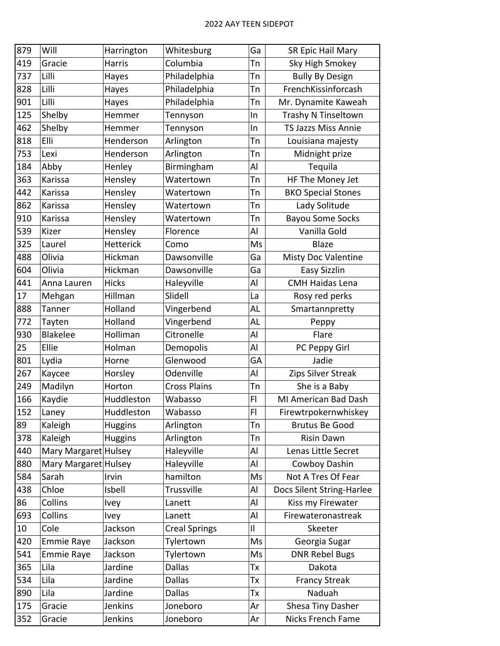| 879 | Will                 | Harrington       | Whitesburg           | Ga           | SR Epic Hail Mary         |
|-----|----------------------|------------------|----------------------|--------------|---------------------------|
| 419 | Gracie               | Harris           | Columbia             | Tn           | Sky High Smokey           |
| 737 | Lilli                | Hayes            | Philadelphia         | Tn           | <b>Bully By Design</b>    |
| 828 | Lilli                | Hayes            | Philadelphia         | Tn           | FrenchKissinforcash       |
| 901 | Lilli                | Hayes            | Philadelphia         | Tn           | Mr. Dynamite Kaweah       |
| 125 | Shelby               | Hemmer           | Tennyson             | In           | Trashy N Tinseltown       |
| 462 | Shelby               | Hemmer           | Tennyson             | In           | TS Jazzs Miss Annie       |
| 818 | Elli                 | Henderson        | Arlington            | Tn           | Louisiana majesty         |
| 753 | Lexi                 | Henderson        | Arlington            | Tn           | Midnight prize            |
| 184 | Abby                 | Henley           | Birmingham           | Al           | Tequila                   |
| 363 | Karissa              | Hensley          | Watertown            | Tn           | HF The Money Jet          |
| 442 | Karissa              | Hensley          | Watertown            | Tn           | <b>BKO Special Stones</b> |
| 862 | Karissa              | Hensley          | Watertown            | Tn           | Lady Solitude             |
| 910 | Karissa              | Hensley          | Watertown            | Tn           | <b>Bayou Some Socks</b>   |
| 539 | Kizer                | Hensley          | Florence             | Al           | Vanilla Gold              |
| 325 | Laurel               | <b>Hetterick</b> | Como                 | Ms           | <b>Blaze</b>              |
| 488 | Olivia               | Hickman          | Dawsonville          | Ga           | Misty Doc Valentine       |
| 604 | Olivia               | Hickman          | Dawsonville          | Ga           | <b>Easy Sizzlin</b>       |
| 441 | Anna Lauren          | <b>Hicks</b>     | Haleyville           | Al           | <b>CMH Haidas Lena</b>    |
| 17  | Mehgan               | Hillman          | Slidell              | La           | Rosy red perks            |
| 888 | Tanner               | Holland          | Vingerbend           | AL           | Smartannpretty            |
| 772 | Tayten               | Holland          | Vingerbend           | AL           | Peppy                     |
| 930 | <b>Blakelee</b>      | Holliman         | Citronelle           | Al           | Flare                     |
| 25  | Ellie                | Holman           | Demopolis            | Al           | PC Peppy Girl             |
| 801 | Lydia                | Horne            | Glenwood             | GA           | Jadie                     |
| 267 | Kaycee               | Horsley          | Odenville            | Al           | Zips Silver Streak        |
| 249 | Madilyn              | Horton           | <b>Cross Plains</b>  | Tn           | She is a Baby             |
| 166 | Kaydie               | Huddleston       | Wabasso              | FI           | MI American Bad Dash      |
| 152 | Laney                | Huddleston       | Wabasso              | F            | Firewtrpokernwhiskey      |
| 89  | Kaleigh              | <b>Huggins</b>   | Arlington            | Tn           | <b>Brutus Be Good</b>     |
| 378 | Kaleigh              | <b>Huggins</b>   | Arlington            | Tn           | <b>Risin Dawn</b>         |
| 440 | Mary Margaret Hulsey |                  | Haleyville           | Al           | Lenas Little Secret       |
| 880 | Mary Margaret Hulsey |                  | Haleyville           | Al           | Cowboy Dashin             |
| 584 | Sarah                | Irvin            | hamilton             | Ms           | Not A Tres Of Fear        |
| 438 | Chloe                | Isbell           | Trussville           | Al           | Docs Silent String-Harlee |
| 86  | Collins              | Ivey             | Lanett               | Al           | Kiss my Firewater         |
| 693 | Collins              | Ivey             | Lanett               | Al           | Firewateronastreak        |
| 10  | Cole                 | Jackson          | <b>Creal Springs</b> | $\mathsf{I}$ | Skeeter                   |
| 420 | <b>Emmie Raye</b>    | Jackson          | Tylertown            | Ms           | Georgia Sugar             |
| 541 | <b>Emmie Raye</b>    | Jackson          | Tylertown            | Ms           | <b>DNR Rebel Bugs</b>     |
| 365 | Lila                 | Jardine          | <b>Dallas</b>        | Tx           | Dakota                    |
| 534 | Lila                 | Jardine          | <b>Dallas</b>        | Тx           | <b>Francy Streak</b>      |
| 890 | Lila                 | Jardine          | <b>Dallas</b>        | Tх           | Naduah                    |
| 175 | Gracie               | Jenkins          | Joneboro             | Ar           | Shesa Tiny Dasher         |
| 352 | Gracie               | Jenkins          | Joneboro             | Ar           | Nicks French Fame         |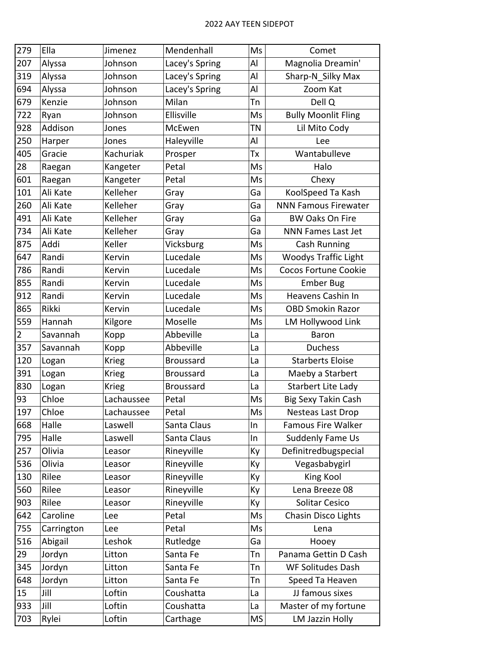| 279            | Ella       | Jimenez      | Mendenhall       | Ms        | Comet                       |
|----------------|------------|--------------|------------------|-----------|-----------------------------|
| 207            | Alyssa     | Johnson      | Lacey's Spring   | Al        | Magnolia Dreamin'           |
| 319            | Alyssa     | Johnson      | Lacey's Spring   | Al        | Sharp-N Silky Max           |
| 694            | Alyssa     | Johnson      | Lacey's Spring   | Al        | Zoom Kat                    |
| 679            | Kenzie     | Johnson      | Milan            | Tn        | Dell Q                      |
| 722            | Ryan       | Johnson      | Ellisville       | Ms        | <b>Bully Moonlit Fling</b>  |
| 928            | Addison    | Jones        | McEwen           | ΤN        | Lil Mito Cody               |
| 250            | Harper     | Jones        | Haleyville       | Al        | Lee                         |
| 405            | Gracie     | Kachuriak    | Prosper          | Тx        | Wantabulleve                |
| 28             | Raegan     | Kangeter     | Petal            | Ms        | Halo                        |
| 601            | Raegan     | Kangeter     | Petal            | Ms        | Chexy                       |
| 101            | Ali Kate   | Kelleher     | Gray             | Ga        | KoolSpeed Ta Kash           |
| 260            | Ali Kate   | Kelleher     | Gray             | Ga        | <b>NNN Famous Firewater</b> |
| 491            | Ali Kate   | Kelleher     | Gray             | Ga        | <b>BW Oaks On Fire</b>      |
| 734            | Ali Kate   | Kelleher     | Gray             | Ga        | <b>NNN Fames Last Jet</b>   |
| 875            | Addi       | Keller       | Vicksburg        | Ms        | Cash Running                |
| 647            | Randi      | Kervin       | Lucedale         | Ms        | <b>Woodys Traffic Light</b> |
| 786            | Randi      | Kervin       | Lucedale         | Ms        | <b>Cocos Fortune Cookie</b> |
| 855            | Randi      | Kervin       | Lucedale         | Ms        | <b>Ember Bug</b>            |
| 912            | Randi      | Kervin       | Lucedale         | Ms        | Heavens Cashin In           |
| 865            | Rikki      | Kervin       | Lucedale         | Ms        | <b>OBD Smokin Razor</b>     |
| 559            | Hannah     | Kilgore      | Moselle          | Ms        | LM Hollywood Link           |
| $\overline{2}$ | Savannah   | Kopp         | Abbeville        | La        | <b>Baron</b>                |
| 357            | Savannah   | Kopp         | Abbeville        | La        | <b>Duchess</b>              |
| 120            | Logan      | <b>Krieg</b> | <b>Broussard</b> | La        | <b>Starberts Eloise</b>     |
| 391            | Logan      | <b>Krieg</b> | <b>Broussard</b> | La        | Maeby a Starbert            |
| 830            | Logan      | <b>Krieg</b> | <b>Broussard</b> | La        | Starbert Lite Lady          |
| 93             | Chloe      | Lachaussee   | Petal            | Ms        | Big Sexy Takin Cash         |
| 197            | Chloe      | Lachaussee   | Petal            | Ms        | Nesteas Last Drop           |
| 668            | Halle      | Laswell      | Santa Claus      | In        | Famous Fire Walker          |
| 795            | Halle      | Laswell      | Santa Claus      | In        | Suddenly Fame Us            |
| 257            | Olivia     | Leasor       | Rineyville       | Ky        | Definitredbugspecial        |
| 536            | Olivia     | Leasor       | Rineyville       | Ky        | Vegasbabygirl               |
| 130            | Rilee      | Leasor       | Rineyville       | Кy        | King Kool                   |
| 560            | Rilee      | Leasor       | Rineyville       | Кy        | Lena Breeze 08              |
| 903            | Rilee      | Leasor       | Rineyville       | Ky        | Solitar Cesico              |
| 642            | Caroline   | Lee          | Petal            | Ms        | Chasin Disco Lights         |
| 755            | Carrington | Lee          | Petal            | Ms        | Lena                        |
| 516            | Abigail    | Leshok       | Rutledge         | Ga        | Hooey                       |
| 29             | Jordyn     | Litton       | Santa Fe         | Tn        | Panama Gettin D Cash        |
| 345            | Jordyn     | Litton       | Santa Fe         | Tn        | <b>WF Solitudes Dash</b>    |
| 648            | Jordyn     | Litton       | Santa Fe         | Tn        | Speed Ta Heaven             |
| 15             | Jill       | Loftin       | Coushatta        | La        | JJ famous sixes             |
| 933            | Jill       | Loftin       | Coushatta        | La        | Master of my fortune        |
| 703            | Rylei      | Loftin       | Carthage         | <b>MS</b> | LM Jazzin Holly             |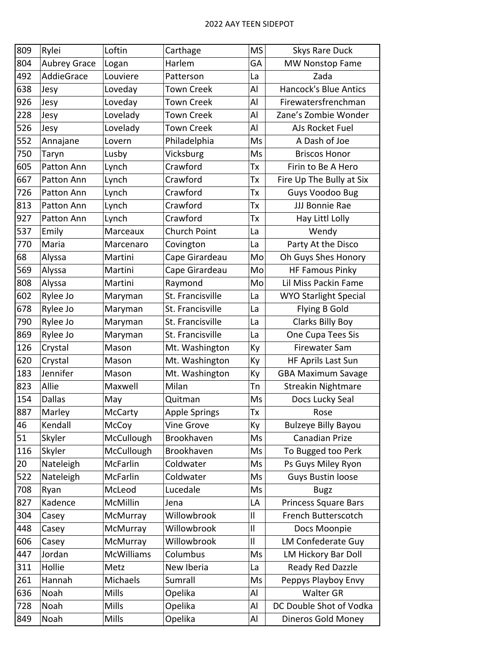| 809 | Rylei               | Loftin            | Carthage            | <b>MS</b>    | <b>Skys Rare Duck</b>        |
|-----|---------------------|-------------------|---------------------|--------------|------------------------------|
| 804 | <b>Aubrey Grace</b> | Logan             | Harlem              | GA           | <b>MW Nonstop Fame</b>       |
| 492 | AddieGrace          | Louviere          | Patterson           | La           | Zada                         |
| 638 | Jesy                | Loveday           | <b>Town Creek</b>   | Al           | <b>Hancock's Blue Antics</b> |
| 926 | Jesy                | Loveday           | <b>Town Creek</b>   | Al           | Firewatersfrenchman          |
| 228 | Jesy                | Lovelady          | <b>Town Creek</b>   | Al           | Zane's Zombie Wonder         |
| 526 | Jesy                | Lovelady          | <b>Town Creek</b>   | Al           | AJs Rocket Fuel              |
| 552 | Annajane            | Lovern            | Philadelphia        | Ms           | A Dash of Joe                |
| 750 | Taryn               | Lusby             | Vicksburg           | Ms           | <b>Briscos Honor</b>         |
| 605 | Patton Ann          | Lynch             | Crawford            | Tx           | Firin to Be A Hero           |
| 667 | Patton Ann          | Lynch             | Crawford            | Тx           | Fire Up The Bully at Six     |
| 726 | Patton Ann          | Lynch             | Crawford            | Tx           | Guys Voodoo Bug              |
| 813 | Patton Ann          | Lynch             | Crawford            | Тx           | JJJ Bonnie Rae               |
| 927 | Patton Ann          | Lynch             | Crawford            | Тx           | Hay Littl Lolly              |
| 537 | Emily               | Marceaux          | <b>Church Point</b> | La           | Wendy                        |
| 770 | Maria               | Marcenaro         | Covington           | La           | Party At the Disco           |
| 68  | Alyssa              | Martini           | Cape Girardeau      | Mo           | Oh Guys Shes Honory          |
| 569 | Alyssa              | Martini           | Cape Girardeau      | Mo           | <b>HF Famous Pinky</b>       |
| 808 | Alyssa              | Martini           | Raymond             | Mo           | Lil Miss Packin Fame         |
| 602 | Rylee Jo            | Maryman           | St. Francisville    | La           | <b>WYO Starlight Special</b> |
| 678 | Rylee Jo            | Maryman           | St. Francisville    | La           | Flying B Gold                |
| 790 | Rylee Jo            | Maryman           | St. Francisville    | La           | <b>Clarks Billy Boy</b>      |
| 869 | Rylee Jo            | Maryman           | St. Francisville    | La           | One Cupa Tees Sis            |
| 126 | Crystal             | Mason             | Mt. Washington      | Кy           | Firewater Sam                |
| 620 | Crystal             | Mason             | Mt. Washington      | Ky           | HF Aprils Last Sun           |
| 183 | Jennifer            | Mason             | Mt. Washington      | Кy           | <b>GBA Maximum Savage</b>    |
| 823 | Allie               | Maxwell           | Milan               | Tn           | <b>Streakin Nightmare</b>    |
| 154 | <b>Dallas</b>       | May               | Quitman             | Ms           | Docs Lucky Seal              |
| 887 | Marley              | McCarty           | Apple Springs       | Tx           | Rose                         |
| 46  | Kendall             | McCoy             | Vine Grove          | Кy           | <b>Bulzeye Billy Bayou</b>   |
| 51  | Skyler              | McCullough        | Brookhaven          | Ms           | Canadian Prize               |
| 116 | Skyler              | McCullough        | Brookhaven          | Ms           | To Bugged too Perk           |
| 20  | Nateleigh           | McFarlin          | Coldwater           | Ms           | Ps Guys Miley Ryon           |
| 522 | Nateleigh           | McFarlin          | Coldwater           | Ms           | Guys Bustin loose            |
| 708 | Ryan                | McLeod            | Lucedale            | Ms           | <b>Bugz</b>                  |
| 827 | Kadence             | <b>McMillin</b>   | Jena                | LA           | <b>Princess Square Bars</b>  |
| 304 | Casey               | McMurray          | Willowbrook         | $\mathbf{I}$ | French Butterscotch          |
| 448 | Casey               | McMurray          | Willowbrook         | $\mathbf{I}$ | Docs Moonpie                 |
| 606 | Casey               | McMurray          | Willowbrook         | $\mathbf{I}$ | LM Confederate Guy           |
| 447 | Jordan              | <b>McWilliams</b> | Columbus            | Ms           | LM Hickory Bar Doll          |
| 311 | Hollie              | Metz              | New Iberia          | La           | Ready Red Dazzle             |
| 261 | Hannah              | Michaels          | Sumrall             | Ms           | Peppys Playboy Envy          |
| 636 | Noah                | <b>Mills</b>      | Opelika             | Al           | <b>Walter GR</b>             |
| 728 | Noah                | <b>Mills</b>      | Opelika             | Al           | DC Double Shot of Vodka      |
| 849 | Noah                | Mills             | Opelika             | Al           | Dineros Gold Money           |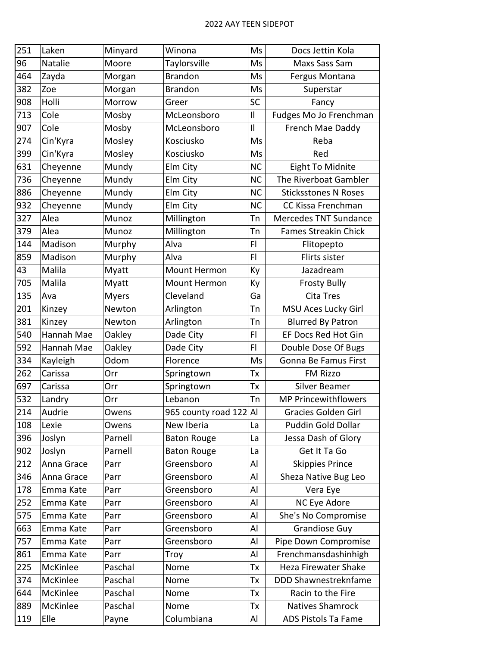| 251 | Laken      | Minyard      | Winona                 | Ms             | Docs Jettin Kola            |
|-----|------------|--------------|------------------------|----------------|-----------------------------|
| 96  | Natalie    | Moore        | Taylorsville           | Ms             | Maxs Sass Sam               |
| 464 | Zayda      | Morgan       | <b>Brandon</b>         | Ms             | Fergus Montana              |
| 382 | Zoe        | Morgan       | <b>Brandon</b>         | Ms             | Superstar                   |
| 908 | Holli      | Morrow       | Greer                  | SC             | Fancy                       |
| 713 | Cole       | Mosby        | McLeonsboro            | $\mathbf{I}$   | Fudges Mo Jo Frenchman      |
| 907 | Cole       | Mosby        | McLeonsboro            | $\mathbf{I}$   | French Mae Daddy            |
| 274 | Cin'Kyra   | Mosley       | Kosciusko              | Ms             | Reba                        |
| 399 | Cin'Kyra   | Mosley       | Kosciusko              | Ms             | Red                         |
| 631 | Cheyenne   | Mundy        | Elm City               | <b>NC</b>      | <b>Eight To Midnite</b>     |
| 736 | Cheyenne   | Mundy        | Elm City               | <b>NC</b>      | The Riverboat Gambler       |
| 886 | Cheyenne   | Mundy        | Elm City               | <b>NC</b>      | <b>Sticksstones N Roses</b> |
| 932 | Cheyenne   | Mundy        | Elm City               | <b>NC</b>      | CC Kissa Frenchman          |
| 327 | Alea       | Munoz        | Millington             | Tn             | Mercedes TNT Sundance       |
| 379 | Alea       | Munoz        | Millington             | Tn             | <b>Fames Streakin Chick</b> |
| 144 | Madison    | Murphy       | Alva                   | F <sub>1</sub> | Flitopepto                  |
| 859 | Madison    | Murphy       | Alva                   | FI             | Flirts sister               |
| 43  | Malila     | Myatt        | Mount Hermon           | Ky             | Jazadream                   |
| 705 | Malila     | Myatt        | Mount Hermon           | Ky             | <b>Frosty Bully</b>         |
| 135 | Ava        | <b>Myers</b> | Cleveland              | Ga             | Cita Tres                   |
| 201 | Kinzey     | Newton       | Arlington              | Tn             | MSU Aces Lucky Girl         |
| 381 | Kinzey     | Newton       | Arlington              | Tn             | <b>Blurred By Patron</b>    |
| 540 | Hannah Mae | Oakley       | Dade City              | FI             | EF Docs Red Hot Gin         |
| 592 | Hannah Mae | Oakley       | Dade City              | F <sub>1</sub> | Double Dose Of Bugs         |
| 334 | Kayleigh   | Odom         | Florence               | Ms             | Gonna Be Famus First        |
| 262 | Carissa    | Orr          | Springtown             | Тx             | FM Rizzo                    |
| 697 | Carissa    | Orr          | Springtown             | Tx             | Silver Beamer               |
| 532 | Landry     | Orr          | Lebanon                | Tn             | <b>MP Princewithflowers</b> |
| 214 | Audrie     | Owens        | 965 county road 122 Al |                | <b>Gracies Golden Girl</b>  |
| 108 | Lexie      | Owens        | New Iberia             | La             | Puddin Gold Dollar          |
| 396 | Joslyn     | Parnell      | <b>Baton Rouge</b>     | La             | Jessa Dash of Glory         |
| 902 | Joslyn     | Parnell      | <b>Baton Rouge</b>     | La             | Get It Ta Go                |
| 212 | Anna Grace | Parr         | Greensboro             | Al             | <b>Skippies Prince</b>      |
| 346 | Anna Grace | Parr         | Greensboro             | Al             | Sheza Native Bug Leo        |
| 178 | Emma Kate  | Parr         | Greensboro             | Al             | Vera Eye                    |
| 252 | Emma Kate  | Parr         | Greensboro             | Al             | NC Eye Adore                |
| 575 | Emma Kate  | Parr         | Greensboro             | Al             | She's No Compromise         |
| 663 | Emma Kate  | Parr         | Greensboro             | Al             | <b>Grandiose Guy</b>        |
| 757 | Emma Kate  | Parr         | Greensboro             | Al             | Pipe Down Compromise        |
| 861 | Emma Kate  | Parr         | Troy                   | Al             | Frenchmansdashinhigh        |
| 225 | McKinlee   | Paschal      | Nome                   | Тx             | Heza Firewater Shake        |
| 374 | McKinlee   | Paschal      | Nome                   | Tx             | DDD Shawnestreknfame        |
| 644 | McKinlee   | Paschal      | Nome                   | Tx             | Racin to the Fire           |
| 889 | McKinlee   | Paschal      | Nome                   | Tx             | Natives Shamrock            |
| 119 | Elle       | Payne        | Columbiana             | Al             | ADS Pistols Ta Fame         |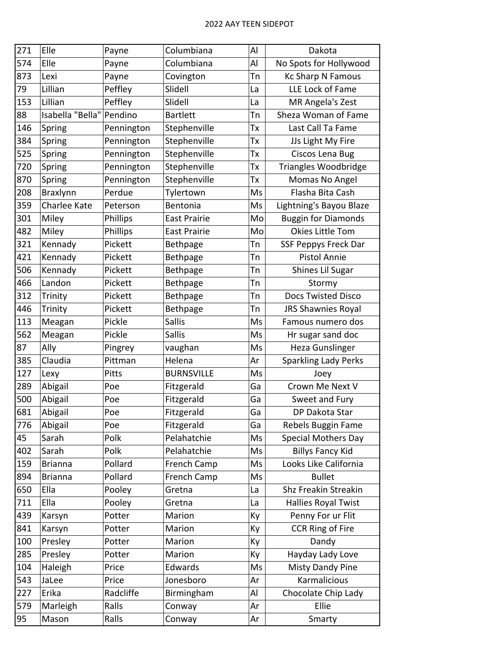| 271 | Elle                     | Payne      | Columbiana          | Al | Dakota                      |
|-----|--------------------------|------------|---------------------|----|-----------------------------|
| 574 | Elle                     | Payne      | Columbiana          | Al | No Spots for Hollywood      |
| 873 | Lexi                     | Payne      | Covington           | Tn | <b>Kc Sharp N Famous</b>    |
| 79  | Lillian                  | Peffley    | Slidell             | La | LLE Lock of Fame            |
| 153 | Lillian                  | Peffley    | Slidell             | La | MR Angela's Zest            |
| 88  | Isabella "Bella" Pendino |            | <b>Bartlett</b>     | Тn | Sheza Woman of Fame         |
| 146 | Spring                   | Pennington | Stephenville        | Тx | Last Call Ta Fame           |
| 384 | Spring                   | Pennington | Stephenville        | Tx | JJs Light My Fire           |
| 525 | Spring                   | Pennington | Stephenville        | Tх | Ciscos Lena Bug             |
| 720 | Spring                   | Pennington | Stephenville        | Tx | Triangles Woodbridge        |
| 870 | Spring                   | Pennington | Stephenville        | Tx | Momas No Angel              |
| 208 | <b>Braxlynn</b>          | Perdue     | Tylertown           | Ms | Flasha Bita Cash            |
| 359 | Charlee Kate             | Peterson   | Bentonia            | Ms | Lightning's Bayou Blaze     |
| 301 | Miley                    | Phillips   | <b>East Prairie</b> | Mo | <b>Buggin for Diamonds</b>  |
| 482 | Miley                    | Phillips   | <b>East Prairie</b> | Mo | Okies Little Tom            |
| 321 | Kennady                  | Pickett    | <b>Bethpage</b>     | Tn | SSF Peppys Freck Dar        |
| 421 | Kennady                  | Pickett    | Bethpage            | Tn | <b>Pistol Annie</b>         |
| 506 | Kennady                  | Pickett    | Bethpage            | Tn | Shines Lil Sugar            |
| 466 | Landon                   | Pickett    | Bethpage            | Tn | Stormy                      |
| 312 | Trinity                  | Pickett    | Bethpage            | Tn | <b>Docs Twisted Disco</b>   |
| 446 | Trinity                  | Pickett    | Bethpage            | Tn | JRS Shawnies Royal          |
| 113 | Meagan                   | Pickle     | <b>Sallis</b>       | Ms | Famous numero dos           |
| 562 | Meagan                   | Pickle     | <b>Sallis</b>       | Ms | Hr sugar sand doc           |
| 87  | Ally                     | Pingrey    | vaughan             | Ms | <b>Heza Gunslinger</b>      |
| 385 | Claudia                  | Pittman    | Helena              | Ar | <b>Sparkling Lady Perks</b> |
| 127 | Lexy                     | Pitts      | <b>BURNSVILLE</b>   | Ms | Joey                        |
| 289 | Abigail                  | Poe        | Fitzgerald          | Ga | Crown Me Next V             |
| 500 | Abigail                  | Poe        | Fitzgerald          | Ga | Sweet and Fury              |
| 681 | Abigail                  | Poe        | Fitzgerald          | Ga | DP Dakota Star              |
| 776 | Abigail                  | Poe        | Fitzgerald          | Ga | Rebels Buggin Fame          |
| 45  | Sarah                    | Polk       | Pelahatchie         | Ms | <b>Special Mothers Day</b>  |
| 402 | Sarah                    | Polk       | Pelahatchie         | Ms | <b>Billys Fancy Kid</b>     |
| 159 | <b>Brianna</b>           | Pollard    | French Camp         | Ms | Looks Like California       |
| 894 | <b>Brianna</b>           | Pollard    | French Camp         | Ms | <b>Bullet</b>               |
| 650 | Ella                     | Pooley     | Gretna              | La | Shz Freakin Streakin        |
| 711 | Ella                     | Pooley     | Gretna              | La | Hallies Royal Twist         |
| 439 | Karsyn                   | Potter     | Marion              | Ky | Penny For ur Flit           |
| 841 | Karsyn                   | Potter     | Marion              | Ky | <b>CCR Ring of Fire</b>     |
| 100 | Presley                  | Potter     | Marion              | Ky | Dandy                       |
| 285 | Presley                  | Potter     | Marion              | Ky | Hayday Lady Love            |
| 104 | Haleigh                  | Price      | Edwards             | Ms | Misty Dandy Pine            |
| 543 | JaLee                    | Price      | Jonesboro           | Ar | Karmalicious                |
| 227 | Erika                    | Radcliffe  | Birmingham          | Al | Chocolate Chip Lady         |
| 579 | Marleigh                 | Ralls      | Conway              | Ar | Ellie                       |
| 95  | Mason                    | Ralls      | Conway              | Ar | Smarty                      |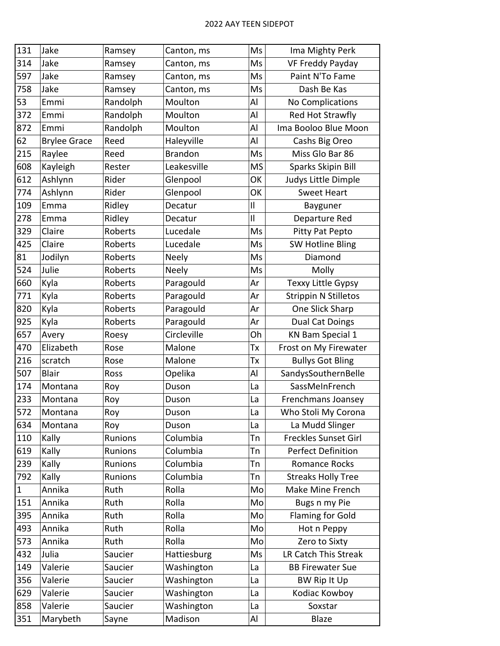| 131          | Jake                | Ramsey         | Canton, ms     | Ms           | Ima Mighty Perk             |
|--------------|---------------------|----------------|----------------|--------------|-----------------------------|
| 314          | Jake                | Ramsey         | Canton, ms     | Ms           | VF Freddy Payday            |
| 597          | Jake                | Ramsey         | Canton, ms     | Ms           | Paint N'To Fame             |
| 758          | Jake                | Ramsey         | Canton, ms     | Ms           | Dash Be Kas                 |
| 53           | Emmi                | Randolph       | Moulton        | Al           | No Complications            |
| 372          | Emmi                | Randolph       | Moulton        | Al           | Red Hot Strawfly            |
| 872          | Emmi                | Randolph       | Moulton        | Al           | Ima Booloo Blue Moon        |
| 62           | <b>Brylee Grace</b> | Reed           | Haleyville     | Al           | Cashs Big Oreo              |
| 215          | Raylee              | Reed           | <b>Brandon</b> | Ms           | Miss Glo Bar 86             |
| 608          | Kayleigh            | Rester         | Leakesville    | <b>MS</b>    | Sparks Skipin Bill          |
| 612          | Ashlynn             | Rider          | Glenpool       | OK           | Judys Little Dimple         |
| 774          | Ashlynn             | Rider          | Glenpool       | OK           | <b>Sweet Heart</b>          |
| 109          | Emma                | Ridley         | Decatur        | $\mathbf{I}$ | Bayguner                    |
| 278          | Emma                | Ridley         | Decatur        | $\mathbf{I}$ | Departure Red               |
| 329          | Claire              | Roberts        | Lucedale       | Ms           | Pitty Pat Pepto             |
| 425          | Claire              | Roberts        | Lucedale       | Ms           | SW Hotline Bling            |
| 81           | Jodilyn             | Roberts        | <b>Neely</b>   | Ms           | Diamond                     |
| 524          | Julie               | Roberts        | <b>Neely</b>   | Ms           | Molly                       |
| 660          | Kyla                | Roberts        | Paragould      | Ar           | Texxy Little Gypsy          |
| 771          | Kyla                | Roberts        | Paragould      | Ar           | <b>Strippin N Stilletos</b> |
| 820          | Kyla                | Roberts        | Paragould      | Ar           | One Slick Sharp             |
| 925          | Kyla                | Roberts        | Paragould      | Ar           | <b>Dual Cat Doings</b>      |
| 657          | Avery               | Roesy          | Circleville    | Oh           | KN Bam Special 1            |
| 470          | Elizabeth           | Rose           | Malone         | Tx           | Frost on My Firewater       |
| 216          | scratch             | Rose           | Malone         | Tх           | <b>Bullys Got Bling</b>     |
| 507          | <b>Blair</b>        | Ross           | Opelika        | Al           | SandysSouthernBelle         |
| 174          | Montana             | Roy            | Duson          | La           | SassMeInFrench              |
| 233          | Montana             | Roy            | Duson          | La           | Frenchmans Joansey          |
| 572          | Montana             | Roy            | Duson          | La           | Who Stoli My Corona         |
| 634          | Montana             | Roy            | Duson          | La           | La Mudd Slinger             |
| 110          | Kally               | <b>Runions</b> | Columbia       | Tn           | Freckles Sunset Girl        |
| 619          | Kally               | Runions        | Columbia       | Tn           | <b>Perfect Definition</b>   |
| 239          | Kally               | Runions        | Columbia       | Tn           | Romance Rocks               |
| 792          | Kally               | Runions        | Columbia       | Tn           | <b>Streaks Holly Tree</b>   |
| $\mathbf{1}$ | Annika              | Ruth           | Rolla          | Mo           | Make Mine French            |
| 151          | Annika              | Ruth           | Rolla          | Mo           | Bugs n my Pie               |
| 395          | Annika              | Ruth           | Rolla          | Mo           | <b>Flaming for Gold</b>     |
| 493          | Annika              | Ruth           | Rolla          | Mo           | Hot n Peppy                 |
| 573          | Annika              | Ruth           | Rolla          | Mo           | Zero to Sixty               |
| 432          | Julia               | Saucier        | Hattiesburg    | Ms           | LR Catch This Streak        |
| 149          | Valerie             | Saucier        | Washington     | La           | <b>BB Firewater Sue</b>     |
| 356          | Valerie             | Saucier        | Washington     | La           | BW Rip It Up                |
| 629          | Valerie             | Saucier        | Washington     | La           | Kodiac Kowboy               |
| 858          | Valerie             | Saucier        | Washington     | La           | Soxstar                     |
| 351          | Marybeth            | Sayne          | Madison        | Al           | Blaze                       |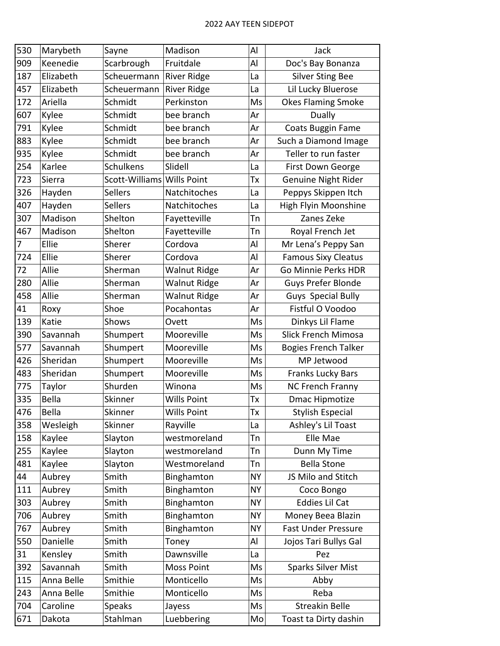| 530 | Marybeth   | Sayne          | Madison             | Al        | Jack                        |
|-----|------------|----------------|---------------------|-----------|-----------------------------|
| 909 | Keenedie   | Scarbrough     | Fruitdale           | Al        | Doc's Bay Bonanza           |
| 187 | Elizabeth  | Scheuermann    | <b>River Ridge</b>  | La        | <b>Silver Sting Bee</b>     |
| 457 | Elizabeth  | Scheuermann    | <b>River Ridge</b>  | La        | Lil Lucky Bluerose          |
| 172 | Ariella    | Schmidt        | Perkinston          | Ms        | <b>Okes Flaming Smoke</b>   |
| 607 | Kylee      | Schmidt        | bee branch          | Ar        | Dually                      |
| 791 | Kylee      | Schmidt        | bee branch          | Ar        | Coats Buggin Fame           |
| 883 | Kylee      | Schmidt        | bee branch          | Ar        | Such a Diamond Image        |
| 935 | Kylee      | Schmidt        | bee branch          | Ar        | Teller to run faster        |
| 254 | Karlee     | Schulkens      | Slidell             | La        | First Down George           |
| 723 | Sierra     | Scott-Williams | <b>Wills Point</b>  | Tx        | Genuine Night Rider         |
| 326 | Hayden     | <b>Sellers</b> | Natchitoches        | La        | Peppys Skippen Itch         |
| 407 | Hayden     | <b>Sellers</b> | Natchitoches        | La        | High Flyin Moonshine        |
| 307 | Madison    | Shelton        | Fayetteville        | Tn        | Zanes Zeke                  |
| 467 | Madison    | Shelton        | Fayetteville        | Tn        | Royal French Jet            |
| 7   | Ellie      | Sherer         | Cordova             | Al        | Mr Lena's Peppy San         |
| 724 | Ellie      | Sherer         | Cordova             | Al        | <b>Famous Sixy Cleatus</b>  |
| 72  | Allie      | Sherman        | <b>Walnut Ridge</b> | Ar        | Go Minnie Perks HDR         |
| 280 | Allie      | Sherman        | <b>Walnut Ridge</b> | Ar        | Guys Prefer Blonde          |
| 458 | Allie      | Sherman        | <b>Walnut Ridge</b> | Ar        | Guys Special Bully          |
| 41  | Roxy       | Shoe           | Pocahontas          | Ar        | Fistful O Voodoo            |
| 139 | Katie      | Shows          | Ovett               | Ms        | Dinkys Lil Flame            |
| 390 | Savannah   | Shumpert       | Mooreville          | Ms        | Slick French Mimosa         |
| 577 | Savannah   | Shumpert       | Mooreville          | Ms        | <b>Bogies French Talker</b> |
| 426 | Sheridan   | Shumpert       | Mooreville          | Ms        | MP Jetwood                  |
| 483 | Sheridan   | Shumpert       | Mooreville          | Ms        | <b>Franks Lucky Bars</b>    |
| 775 | Taylor     | Shurden        | Winona              | Ms        | <b>NC French Franny</b>     |
| 335 | Bella      | Skinner        | <b>Wills Point</b>  | Tx        | <b>Dmac Hipmotize</b>       |
| 476 | Bella      | Skinner        | <b>Wills Point</b>  | Tх        | <b>Stylish Especial</b>     |
| 358 | Wesleigh   | Skinner        | Rayville            | La        | Ashley's Lil Toast          |
| 158 | Kaylee     | Slayton        | westmoreland        | Tn        | Elle Mae                    |
| 255 | Kaylee     | Slayton        | westmoreland        | Tn        | Dunn My Time                |
| 481 | Kaylee     | Slayton        | Westmoreland        | Tn        | <b>Bella Stone</b>          |
| 44  | Aubrey     | Smith          | Binghamton          | <b>NY</b> | JS Milo and Stitch          |
| 111 | Aubrey     | Smith          | Binghamton          | <b>NY</b> | Coco Bongo                  |
| 303 | Aubrey     | Smith          | Binghamton          | <b>NY</b> | <b>Eddies Lil Cat</b>       |
| 706 | Aubrey     | Smith          | Binghamton          | <b>NY</b> | Money Beea Blazin           |
| 767 | Aubrey     | Smith          | Binghamton          | <b>NY</b> | <b>Fast Under Pressure</b>  |
| 550 | Danielle   | Smith          | Toney               | Al        | Jojos Tari Bullys Gal       |
| 31  | Kensley    | Smith          | Dawnsville          | La        | Pez                         |
| 392 | Savannah   | Smith          | Moss Point          | Ms        | <b>Sparks Silver Mist</b>   |
| 115 | Anna Belle | Smithie        | Monticello          | Ms        | Abby                        |
| 243 | Anna Belle | Smithie        | Monticello          | Ms        | Reba                        |
| 704 | Caroline   | Speaks         | Jayess              | Ms        | <b>Streakin Belle</b>       |
| 671 | Dakota     | Stahlman       | Luebbering          | Mo        | Toast ta Dirty dashin       |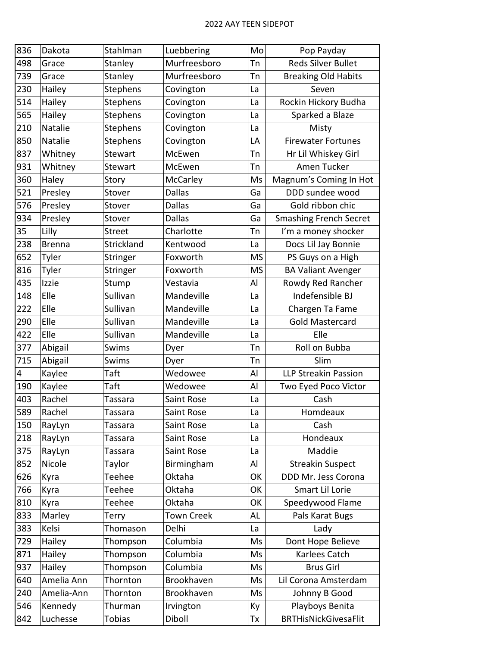| 836 | Dakota        | Stahlman       | Luebbering        | Mo        | Pop Payday                    |
|-----|---------------|----------------|-------------------|-----------|-------------------------------|
| 498 | Grace         | Stanley        | Murfreesboro      | Tn        | <b>Reds Silver Bullet</b>     |
| 739 | Grace         | Stanley        | Murfreesboro      | Tn        | <b>Breaking Old Habits</b>    |
| 230 | Hailey        | Stephens       | Covington         | La        | Seven                         |
| 514 | Hailey        | Stephens       | Covington         | La        | Rockin Hickory Budha          |
| 565 | Hailey        | Stephens       | Covington         | La        | Sparked a Blaze               |
| 210 | Natalie       | Stephens       | Covington         | La        | Misty                         |
| 850 | Natalie       | Stephens       | Covington         | LA        | <b>Firewater Fortunes</b>     |
| 837 | Whitney       | Stewart        | McEwen            | Tn        | Hr Lil Whiskey Girl           |
| 931 | Whitney       | Stewart        | McEwen            | Tn        | Amen Tucker                   |
| 360 | Haley         | Story          | McCarley          | Ms        | Magnum's Coming In Hot        |
| 521 | Presley       | Stover         | <b>Dallas</b>     | Ga        | DDD sundee wood               |
| 576 | Presley       | Stover         | <b>Dallas</b>     | Ga        | Gold ribbon chic              |
| 934 | Presley       | Stover         | <b>Dallas</b>     | Ga        | <b>Smashing French Secret</b> |
| 35  | Lilly         | <b>Street</b>  | Charlotte         | Tn        | I'm a money shocker           |
| 238 | <b>Brenna</b> | Strickland     | Kentwood          | La        | Docs Lil Jay Bonnie           |
| 652 | Tyler         | Stringer       | Foxworth          | <b>MS</b> | PS Guys on a High             |
| 816 | Tyler         | Stringer       | Foxworth          | <b>MS</b> | <b>BA Valiant Avenger</b>     |
| 435 | Izzie         | Stump          | Vestavia          | Al        | Rowdy Red Rancher             |
| 148 | Elle          | Sullivan       | Mandeville        | La        | Indefensible BJ               |
| 222 | Elle          | Sullivan       | Mandeville        | La        | Chargen Ta Fame               |
| 290 | Elle          | Sullivan       | Mandeville        | La        | <b>Gold Mastercard</b>        |
| 422 | Elle          | Sullivan       | Mandeville        | La        | Elle                          |
| 377 | Abigail       | Swims          | Dyer              | Tn        | Roll on Bubba                 |
| 715 | Abigail       | Swims          | Dyer              | Tn        | Slim                          |
| 4   | Kaylee        | Taft           | Wedowee           | Al        | <b>LLP Streakin Passion</b>   |
| 190 | Kaylee        | Taft           | Wedowee           | Al        | Two Eyed Poco Victor          |
| 403 | Rachel        | <b>Tassara</b> | Saint Rose        | La        | Cash                          |
| 589 | Rachel        | Tassara        | Saint Rose        | La        | Homdeaux                      |
| 150 | RayLyn        | Tassara        | Saint Rose        | La        | Cash                          |
| 218 | RayLyn        | Tassara        | Saint Rose        | La        | Hondeaux                      |
| 375 | RayLyn        | Tassara        | Saint Rose        | La        | Maddie                        |
| 852 | Nicole        | Taylor         | Birmingham        | Al        | <b>Streakin Suspect</b>       |
| 626 | Kyra          | Teehee         | Oktaha            | OK        | DDD Mr. Jess Corona           |
| 766 | Kyra          | Teehee         | Oktaha            | OK        | Smart Lil Lorie               |
| 810 | Kyra          | Teehee         | Oktaha            | OK        | Speedywood Flame              |
| 833 | Marley        | Terry          | <b>Town Creek</b> | AL        | Pals Karat Bugs               |
| 383 | Kelsi         | Thomason       | Delhi             | La        | Lady                          |
| 729 | Hailey        | Thompson       | Columbia          | Ms        | Dont Hope Believe             |
| 871 | Hailey        | Thompson       | Columbia          | Ms        | Karlees Catch                 |
| 937 | Hailey        | Thompson       | Columbia          | Ms        | <b>Brus Girl</b>              |
| 640 | Amelia Ann    | Thornton       | Brookhaven        | Ms        | Lil Corona Amsterdam          |
| 240 | Amelia-Ann    | Thornton       | Brookhaven        | Ms        | Johnny B Good                 |
| 546 | Kennedy       | Thurman        | Irvington         | Ky        | Playboys Benita               |
| 842 | Luchesse      | <b>Tobias</b>  | Diboll            | Tx        | <b>BRTHisNickGivesaFlit</b>   |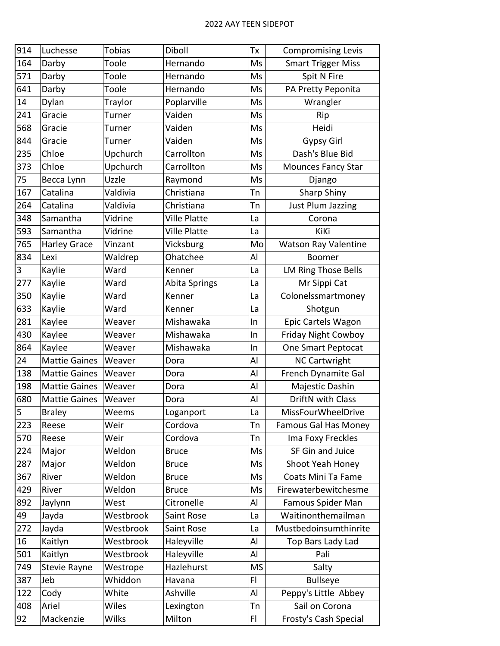| 914 | Luchesse             | <b>Tobias</b> | Diboll               | Тx             | <b>Compromising Levis</b>   |
|-----|----------------------|---------------|----------------------|----------------|-----------------------------|
| 164 | Darby                | Toole         | Hernando             | Ms             | <b>Smart Trigger Miss</b>   |
| 571 | Darby                | Toole         | Hernando             | Ms             | Spit N Fire                 |
| 641 | Darby                | Toole         | Hernando             | Ms             | PA Pretty Peponita          |
| 14  | Dylan                | Traylor       | Poplarville          | Ms             | Wrangler                    |
| 241 | Gracie               | Turner        | Vaiden               | Ms             | Rip                         |
| 568 | Gracie               | Turner        | Vaiden               | Ms             | Heidi                       |
| 844 | Gracie               | Turner        | Vaiden               | Ms             | <b>Gypsy Girl</b>           |
| 235 | Chloe                | Upchurch      | Carrollton           | Ms             | Dash's Blue Bid             |
| 373 | Chloe                | Upchurch      | Carrollton           | Ms             | <b>Mounces Fancy Star</b>   |
| 75  | Becca Lynn           | Uzzle         | Raymond              | Ms             | Django                      |
| 167 | Catalina             | Valdivia      | Christiana           | Tn             | <b>Sharp Shiny</b>          |
| 264 | Catalina             | Valdivia      | Christiana           | Тn             | Just Plum Jazzing           |
| 348 | Samantha             | Vidrine       | <b>Ville Platte</b>  | La             | Corona                      |
| 593 | Samantha             | Vidrine       | <b>Ville Platte</b>  | La             | KiKi                        |
| 765 | Harley Grace         | Vinzant       | Vicksburg            | Mo             | <b>Watson Ray Valentine</b> |
| 834 | Lexi                 | Waldrep       | Ohatchee             | Al             | <b>Boomer</b>               |
| 3   | Kaylie               | Ward          | Kenner               | La             | LM Ring Those Bells         |
| 277 | Kaylie               | Ward          | <b>Abita Springs</b> | La             | Mr Sippi Cat                |
| 350 | Kaylie               | Ward          | Kenner               | La             | Colonelssmartmoney          |
| 633 | Kaylie               | Ward          | Kenner               | La             | Shotgun                     |
| 281 | Kaylee               | Weaver        | Mishawaka            | In             | Epic Cartels Wagon          |
| 430 | Kaylee               | Weaver        | Mishawaka            | In             | <b>Friday Night Cowboy</b>  |
| 864 | Kaylee               | Weaver        | Mishawaka            | In             | One Smart Peptocat          |
| 24  | <b>Mattie Gaines</b> | Weaver        | Dora                 | Al             | <b>NC Cartwright</b>        |
| 138 | <b>Mattie Gaines</b> | Weaver        | Dora                 | Al             | French Dynamite Gal         |
| 198 | <b>Mattie Gaines</b> | Weaver        | Dora                 | Al             | Majestic Dashin             |
| 680 | <b>Mattie Gaines</b> | Weaver        | Dora                 | Al             | DriftN with Class           |
| 5   | <b>Braley</b>        | Weems         | Loganport            | La             | MissFourWheelDrive          |
| 223 | Reese                | Weir          | Cordova              | Tn             | Famous Gal Has Money        |
| 570 | Reese                | Weir          | Cordova              | Tn             | Ima Foxy Freckles           |
| 224 | Major                | Weldon        | <b>Bruce</b>         | Ms             | SF Gin and Juice            |
| 287 | Major                | Weldon        | <b>Bruce</b>         | Ms             | Shoot Yeah Honey            |
| 367 | River                | Weldon        | <b>Bruce</b>         | Ms             | Coats Mini Ta Fame          |
| 429 | River                | Weldon        | <b>Bruce</b>         | Ms             | Firewaterbewitchesme        |
| 892 | Jaylynn              | West          | Citronelle           | Al             | Famous Spider Man           |
| 49  | Jayda                | Westbrook     | Saint Rose           | La             | Waitinonthemailman          |
| 272 | Jayda                | Westbrook     | Saint Rose           | La             | Mustbedoinsumthinrite       |
| 16  | Kaitlyn              | Westbrook     | Haleyville           | Al             | Top Bars Lady Lad           |
| 501 | Kaitlyn              | Westbrook     | Haleyville           | Al             | Pali                        |
| 749 | <b>Stevie Rayne</b>  | Westrope      | Hazlehurst           | <b>MS</b>      | Salty                       |
| 387 | Jeb                  | Whiddon       | Havana               | FI             | <b>Bullseye</b>             |
| 122 | Cody                 | White         | Ashville             | Al             | Peppy's Little Abbey        |
| 408 | Ariel                | Wiles         | Lexington            | Tn             | Sail on Corona              |
| 92  | Mackenzie            | <b>Wilks</b>  | Milton               | F <sub>1</sub> | Frosty's Cash Special       |